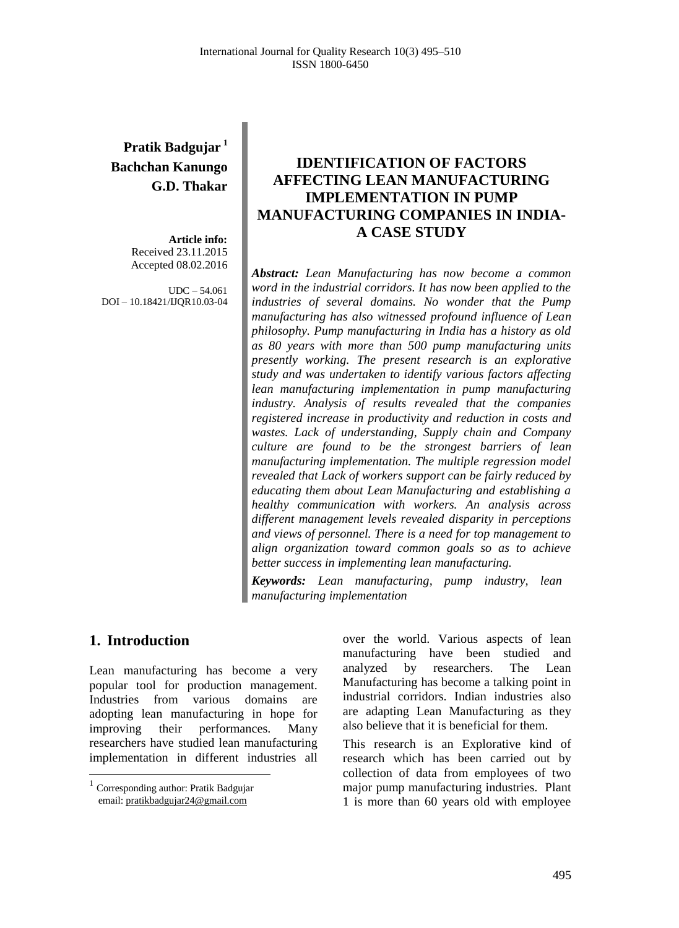# **Pratik Badgujar <sup>1</sup> Bachchan Kanungo G.D. Thakar**

**Article info:** Received 23.11.2015 Accepted 08.02.2016

UDC – 54.061 DOI – 10.18421/IJQR10.03-04

# **IDENTIFICATION OF FACTORS AFFECTING LEAN MANUFACTURING IMPLEMENTATION IN PUMP MANUFACTURING COMPANIES IN INDIA-A CASE STUDY**

*Abstract: Lean Manufacturing has now become a common word in the industrial corridors. It has now been applied to the industries of several domains. No wonder that the Pump manufacturing has also witnessed profound influence of Lean philosophy. Pump manufacturing in India has a history as old as 80 years with more than 500 pump manufacturing units presently working. The present research is an explorative study and was undertaken to identify various factors affecting lean manufacturing implementation in pump manufacturing industry. Analysis of results revealed that the companies registered increase in productivity and reduction in costs and wastes. Lack of understanding, Supply chain and Company culture are found to be the strongest barriers of lean manufacturing implementation. The multiple regression model revealed that Lack of workers support can be fairly reduced by educating them about Lean Manufacturing and establishing a healthy communication with workers. An analysis across different management levels revealed disparity in perceptions and views of personnel. There is a need for top management to align organization toward common goals so as to achieve better success in implementing lean manufacturing.*

*Keywords: Lean manufacturing, pump industry, lean manufacturing implementation*

## **1. Introduction<sup>1</sup>**

 $\overline{a}$ 

Lean manufacturing has become a very popular tool for production management. Industries from various domains are adopting lean manufacturing in hope for improving their performances. Many researchers have studied lean manufacturing implementation in different industries all over the world. Various aspects of lean manufacturing have been studied and analyzed by researchers. The Lean Manufacturing has become a talking point in industrial corridors. Indian industries also are adapting Lean Manufacturing as they also believe that it is beneficial for them.

This research is an Explorative kind of research which has been carried out by collection of data from employees of two major pump manufacturing industries. Plant 1 is more than 60 years old with employee

<sup>&</sup>lt;sup>1</sup> Corresponding author: Pratik Badgujar email[: pratikbadgujar24@gmail.com](mailto:pratikbadgujar24@gmail.com)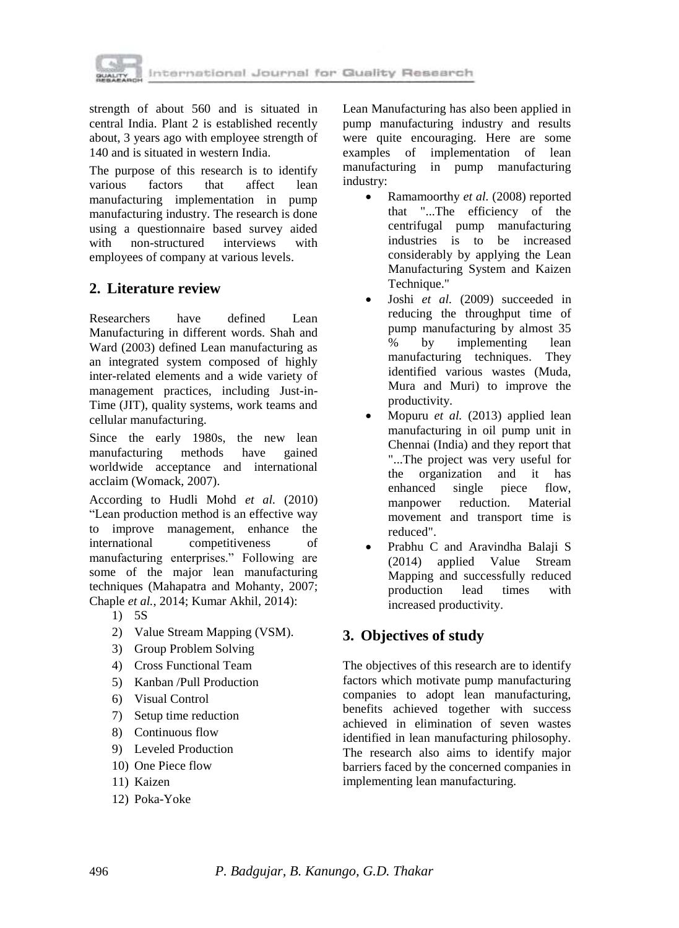

strength of about 560 and is situated in central India. Plant 2 is established recently about, 3 years ago with employee strength of 140 and is situated in western India.

The purpose of this research is to identify various factors that affect lean manufacturing implementation in pump manufacturing industry. The research is done using a questionnaire based survey aided with non-structured interviews with employees of company at various levels.

# **2. Literature review**

Researchers have defined Lean Manufacturing in different words. Shah and Ward (2003) defined Lean manufacturing as an integrated system composed of highly inter-related elements and a wide variety of management practices, including Just-in-Time (JIT), quality systems, work teams and cellular manufacturing.

Since the early 1980s, the new lean manufacturing methods have gained worldwide acceptance and international acclaim (Womack, 2007).

According to Hudli Mohd *et al.* (2010) ―Lean production method is an effective way to improve management, enhance the international competitiveness of manufacturing enterprises." Following are some of the major lean manufacturing techniques (Mahapatra and Mohanty, 2007; Chaple *et al.*, 2014; Kumar Akhil, 2014):

- 1) 5S
- 2) Value Stream Mapping (VSM).
- 3) Group Problem Solving
- 4) Cross Functional Team
- 5) Kanban /Pull Production
- 6) Visual Control
- 7) Setup time reduction
- 8) Continuous flow
- 9) Leveled Production
- 10) One Piece flow
- 11) Kaizen
- 12) Poka-Yoke

Lean Manufacturing has also been applied in pump manufacturing industry and results were quite encouraging. Here are some examples of implementation of lean manufacturing in pump manufacturing industry:

- Ramamoorthy *et al.* (2008) reported that "...The efficiency of the centrifugal pump manufacturing industries is to be increased considerably by applying the Lean Manufacturing System and Kaizen Technique."
- Joshi *et al.* (2009) succeeded in reducing the throughput time of pump manufacturing by almost 35 % by implementing lean manufacturing techniques. They identified various wastes (Muda, Mura and Muri) to improve the productivity.
- Mopuru *et al.* (2013) applied lean manufacturing in oil pump unit in Chennai (India) and they report that "...The project was very useful for the organization and it has enhanced single piece flow, manpower reduction. Material movement and transport time is reduced".
- Prabhu C and Aravindha Balaji S (2014) applied Value Stream Mapping and successfully reduced production lead times with increased productivity.

## **3. Objectives of study**

The objectives of this research are to identify factors which motivate pump manufacturing companies to adopt lean manufacturing, benefits achieved together with success achieved in elimination of seven wastes identified in lean manufacturing philosophy. The research also aims to identify major barriers faced by the concerned companies in implementing lean manufacturing.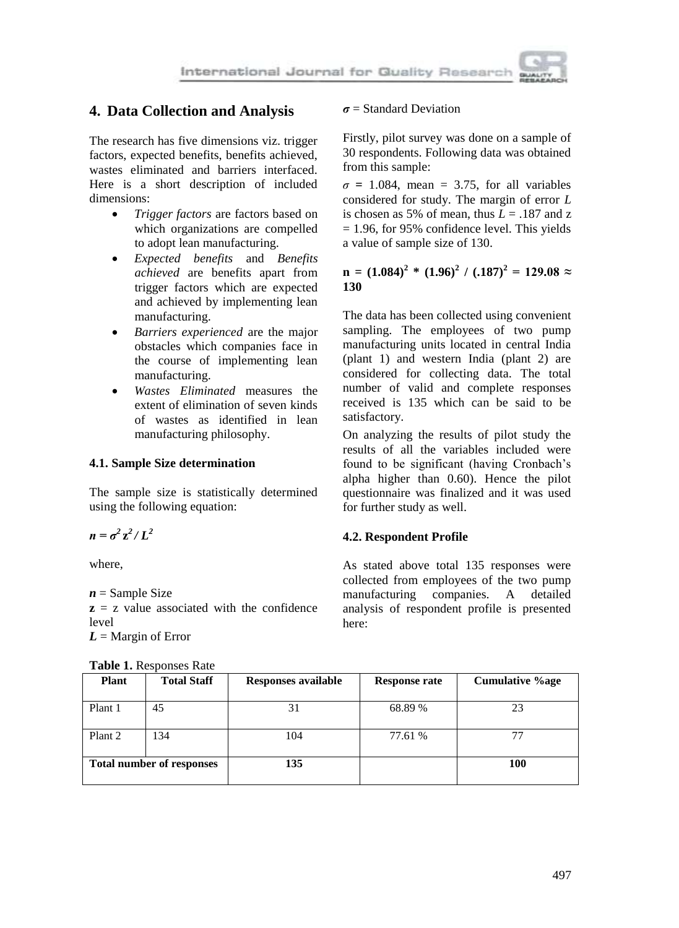## **4. Data Collection and Analysis**

The research has five dimensions viz. trigger factors, expected benefits, benefits achieved, wastes eliminated and barriers interfaced. Here is a short description of included dimensions:

- *Trigger factors* are factors based on which organizations are compelled to adopt lean manufacturing.
- *Expected benefits* and *Benefits achieved* are benefits apart from trigger factors which are expected and achieved by implementing lean manufacturing.
- *Barriers experienced* are the major obstacles which companies face in the course of implementing lean manufacturing.
- *Wastes Eliminated* measures the extent of elimination of seven kinds of wastes as identified in lean manufacturing philosophy.

### **4.1. Sample Size determination**

The sample size is statistically determined using the following equation:

 $n = \sigma^2 z^2 / L^2$ 

where,

 $n =$  Sample Size

**z** = z value associated with the confidence level *L* = Margin of Error

| <b>Plant</b>                     | <b>Total Staff</b> | <b>Responses available</b> | <b>Response rate</b> | <b>Cumulative %age</b> |
|----------------------------------|--------------------|----------------------------|----------------------|------------------------|
| Plant 1                          | 45                 | 31                         | 68.89 %              | 23                     |
| Plant 2                          | 134                | 104                        | 77.61 %              | 77                     |
| <b>Total number of responses</b> |                    | 135                        |                      | 100                    |

#### **Table 1.** Responses Rate

#### *σ* = Standard Deviation

Firstly, pilot survey was done on a sample of 30 respondents. Following data was obtained from this sample:

 $\sigma$  = 1.084, mean = 3.75, for all variables considered for study. The margin of error *L* is chosen as 5% of mean, thus  $L = .187$  and z  $= 1.96$ , for 95% confidence level. This yields a value of sample size of 130.

**n** =  $(1.084)^2$  \*  $(1.96)^2$  /  $(0.187)^2$  = 129.08 ≈ **130**

The data has been collected using convenient sampling. The employees of two pump manufacturing units located in central India (plant 1) and western India (plant 2) are considered for collecting data. The total number of valid and complete responses received is 135 which can be said to be satisfactory.

On analyzing the results of pilot study the results of all the variables included were found to be significant (having Cronbach's alpha higher than 0.60). Hence the pilot questionnaire was finalized and it was used for further study as well.

### **4.2. Respondent Profile**

As stated above total 135 responses were collected from employees of the two pump manufacturing companies. A detailed analysis of respondent profile is presented here: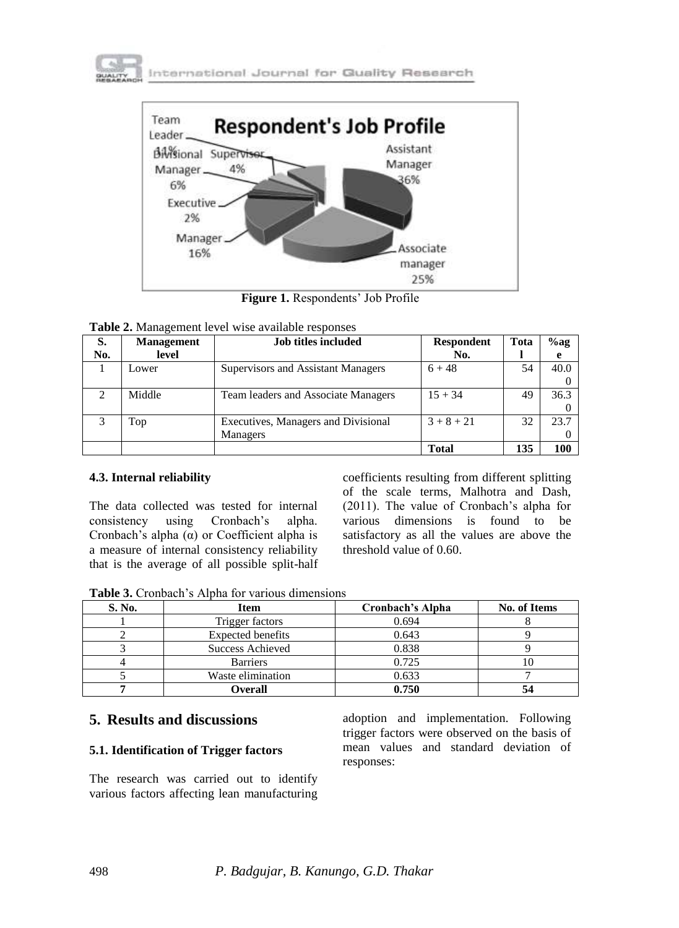



**Figure 1.** Respondents' Job Profile

| S.  | <b>Job titles included</b><br><b>Management</b> |                                     | <b>Respondent</b> | Tota | $%$ ag |
|-----|-------------------------------------------------|-------------------------------------|-------------------|------|--------|
| No. | level                                           |                                     | No.               |      |        |
|     | Lower                                           | Supervisors and Assistant Managers  | $6 + 48$          | 54   | 40.0   |
|     |                                                 |                                     |                   |      |        |
| ി   | Middle                                          | Team leaders and Associate Managers | $15 + 34$         | 49   | 36.3   |
|     |                                                 |                                     |                   |      |        |
|     | Top                                             | Executives, Managers and Divisional | $3 + 8 + 21$      | 32   | 23.7   |
|     |                                                 | Managers                            |                   |      |        |
|     |                                                 |                                     | <b>Total</b>      | 135  | 100    |

### **4.3. Internal reliability**

The data collected was tested for internal consistency using Cronbach's alpha. Cronbach's alpha (α) or Coefficient alpha is a measure of internal consistency reliability that is the average of all possible split-half coefficients resulting from different splitting of the scale terms, Malhotra and Dash, (2011). The value of Cronbach's alpha for various dimensions is found to be satisfactory as all the values are above the threshold value of 0.60.

**Table 3.** Cronbach's Alpha for various dimensions

| S. No. | <b>Item</b>              | Cronbach's Alpha | <b>No. of Items</b> |
|--------|--------------------------|------------------|---------------------|
|        | Trigger factors          | 0.694            |                     |
|        | <b>Expected benefits</b> | 0.643            |                     |
|        | Success Achieved         | 0.838            |                     |
|        | <b>Barriers</b>          | 0.725            |                     |
|        | Waste elimination        | 0.633            |                     |
|        | Overall                  | 0.750            |                     |

## **5. Results and discussions**

## **5.1. Identification of Trigger factors**

The research was carried out to identify various factors affecting lean manufacturing

adoption and implementation. Following trigger factors were observed on the basis of mean values and standard deviation of responses: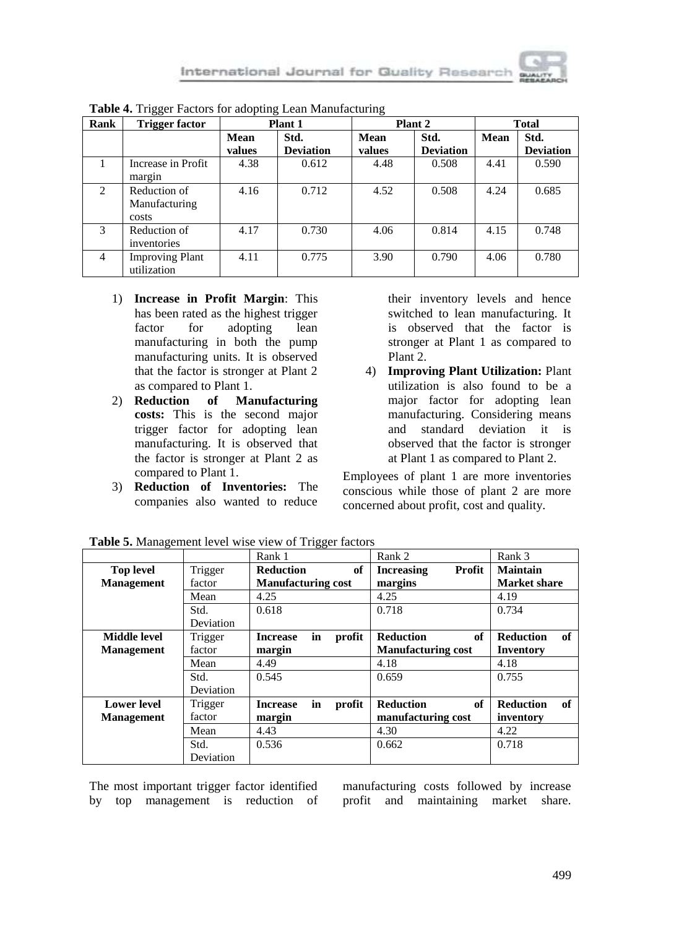| Rank | <b>Trigger factor</b>                  | <b>Plant 1</b> |                  | Plant 2 |                  | <b>Total</b> |                  |
|------|----------------------------------------|----------------|------------------|---------|------------------|--------------|------------------|
|      |                                        | Mean           | Std.             | Mean    | Std.             | Mean         | Std.             |
|      |                                        | values         | <b>Deviation</b> | values  | <b>Deviation</b> |              | <b>Deviation</b> |
|      | Increase in Profit<br>margin           | 4.38           | 0.612            | 4.48    | 0.508            | 4.41         | 0.590            |
| 2    | Reduction of<br>Manufacturing<br>costs | 4.16           | 0.712            | 4.52    | 0.508            | 4.24         | 0.685            |
| 3    | Reduction of<br>inventories            | 4.17           | 0.730            | 4.06    | 0.814            | 4.15         | 0.748            |
| 4    | <b>Improving Plant</b><br>utilization  | 4.11           | 0.775            | 3.90    | 0.790            | 4.06         | 0.780            |

**Table 4.** Trigger Factors for adopting Lean Manufacturing

- 1) **Increase in Profit Margin**: This has been rated as the highest trigger factor for adopting lean manufacturing in both the pump manufacturing units. It is observed that the factor is stronger at Plant 2 as compared to Plant 1.<br>2) **Reduction** of Ma
- 2) **Reduction of Manufacturing costs:** This is the second major trigger factor for adopting lean manufacturing. It is observed that the factor is stronger at Plant 2 as compared to Plant 1.
- 3) **Reduction of Inventories:** The companies also wanted to reduce

their inventory levels and hence switched to lean manufacturing. It is observed that the factor is stronger at Plant 1 as compared to Plant 2.

4) **Improving Plant Utilization:** Plant utilization is also found to be a major factor for adopting lean manufacturing. Considering means and standard deviation it is observed that the factor is stronger at Plant 1 as compared to Plant 2.

Employees of plant 1 are more inventories conscious while those of plant 2 are more concerned about profit, cost and quality.

|                    |                  | Rank 1                    |    |        | Rank 2                    |        | Rank 3              |    |
|--------------------|------------------|---------------------------|----|--------|---------------------------|--------|---------------------|----|
| <b>Top level</b>   | Trigger          | <b>Reduction</b>          |    | of     | <b>Increasing</b>         | Profit | <b>Maintain</b>     |    |
| <b>Management</b>  | factor           | <b>Manufacturing cost</b> |    |        | margins                   |        | <b>Market share</b> |    |
|                    | Mean             | 4.25                      |    |        | 4.25                      |        | 4.19                |    |
|                    | Std.             | 0.618                     |    |        | 0.718                     |        | 0.734               |    |
|                    | <b>Deviation</b> |                           |    |        |                           |        |                     |    |
| Middle level       | Trigger          | <b>Increase</b>           | in | profit | <b>Reduction</b>          | of     | <b>Reduction</b>    | of |
| <b>Management</b>  | factor           | margin                    |    |        | <b>Manufacturing cost</b> |        | Inventory           |    |
|                    | Mean             | 4.49                      |    |        | 4.18                      |        | 4.18                |    |
|                    | Std.             | 0.545                     |    |        | 0.659                     |        | 0.755               |    |
|                    | <b>Deviation</b> |                           |    |        |                           |        |                     |    |
| <b>Lower level</b> | Trigger          | <b>Increase</b>           | in | profit | <b>Reduction</b>          | of     | <b>Reduction</b>    | of |
| <b>Management</b>  | factor           | margin                    |    |        | manufacturing cost        |        | inventory           |    |
|                    | Mean             | 4.43                      |    |        | 4.30                      |        | 4.22                |    |
|                    | Std.             | 0.536                     |    |        | 0.662                     |        | 0.718               |    |
|                    | Deviation        |                           |    |        |                           |        |                     |    |

**Table 5.** Management level wise view of Trigger factors

The most important trigger factor identified by top management is reduction of manufacturing costs followed by increase profit and maintaining market share.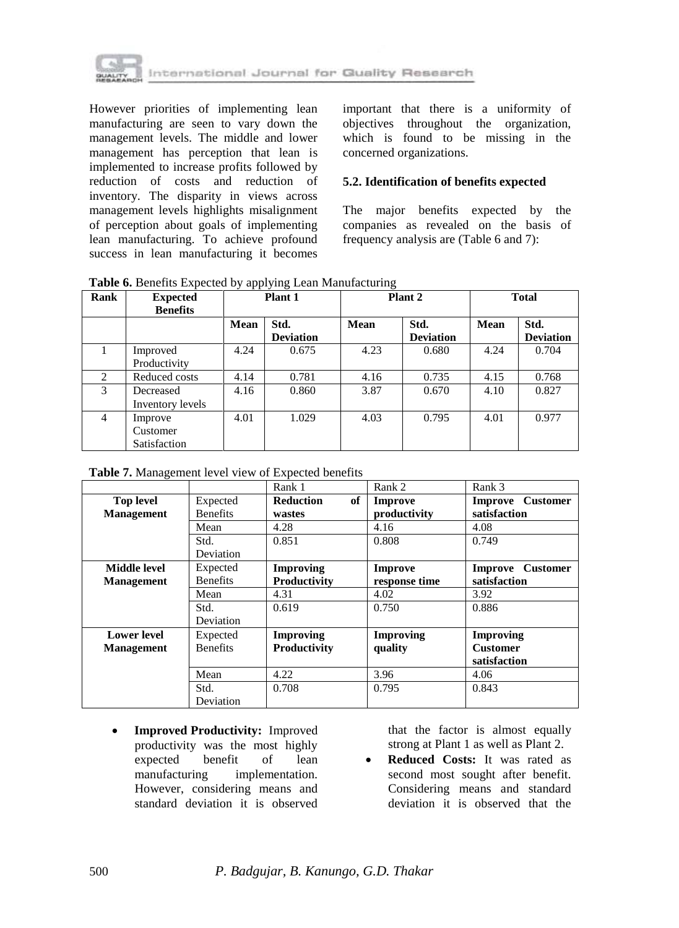

However priorities of implementing lean manufacturing are seen to vary down the management levels. The middle and lower management has perception that lean is implemented to increase profits followed by reduction of costs and reduction of inventory. The disparity in views across management levels highlights misalignment of perception about goals of implementing lean manufacturing. To achieve profound success in lean manufacturing it becomes important that there is a uniformity of objectives throughout the organization, which is found to be missing in the concerned organizations.

### **5.2. Identification of benefits expected**

The major benefits expected by the companies as revealed on the basis of frequency analysis are (Table 6 and 7):

| <b>Rank</b>    | <b>Expected</b><br><b>Benefits</b>  | Plant 1     |                          | Plant 2     |                          | <b>Total</b> |                          |
|----------------|-------------------------------------|-------------|--------------------------|-------------|--------------------------|--------------|--------------------------|
|                |                                     | <b>Mean</b> | Std.<br><b>Deviation</b> | <b>Mean</b> | Std.<br><b>Deviation</b> | Mean         | Std.<br><b>Deviation</b> |
|                | Improved<br>Productivity            | 4.24        | 0.675                    | 4.23        | 0.680                    | 4.24         | 0.704                    |
| 2              | Reduced costs                       | 4.14        | 0.781                    | 4.16        | 0.735                    | 4.15         | 0.768                    |
| 3              | Decreased<br>Inventory levels       | 4.16        | 0.860                    | 3.87        | 0.670                    | 4.10         | 0.827                    |
| $\overline{4}$ | Improve<br>Customer<br>Satisfaction | 4.01        | 1.029                    | 4.03        | 0.795                    | 4.01         | 0.977                    |

**Table 6.** Benefits Expected by applying Lean Manufacturing

| Table 7. Management level view of Expected benefits |  |  |
|-----------------------------------------------------|--|--|
|                                                     |  |  |

|                    |                  | Rank 1                 | Rank 2           | Rank 3                     |
|--------------------|------------------|------------------------|------------------|----------------------------|
| <b>Top level</b>   | Expected         | <b>Reduction</b><br>of | Improve          | Improve Customer           |
| <b>Management</b>  | <b>Benefits</b>  | wastes                 | productivity     | satisfaction               |
|                    | Mean             | 4.28                   | 4.16             | 4.08                       |
|                    | Std.             | 0.851                  | 0.808            | 0.749                      |
|                    | <b>Deviation</b> |                        |                  |                            |
| Middle level       | Expected         | <b>Improving</b>       | Improve          | <b>Customer</b><br>Improve |
| <b>Management</b>  | <b>Benefits</b>  | <b>Productivity</b>    | response time    | satisfaction               |
|                    | Mean             | 4.31                   | 4.02             | 3.92                       |
|                    | Std.             | 0.619                  | 0.750            | 0.886                      |
|                    | Deviation        |                        |                  |                            |
| <b>Lower level</b> | Expected         | <b>Improving</b>       | <b>Improving</b> | <b>Improving</b>           |
| <b>Management</b>  | <b>Benefits</b>  | Productivity           | quality          | <b>Customer</b>            |
|                    |                  |                        |                  | satisfaction               |
|                    | Mean             | 4.22                   | 3.96             | 4.06                       |
|                    | Std.             | 0.708                  | 0.795            | 0.843                      |
|                    | Deviation        |                        |                  |                            |

 **Improved Productivity:** Improved productivity was the most highly expected benefit of lean manufacturing implementation. However, considering means and standard deviation it is observed that the factor is almost equally strong at Plant 1 as well as Plant 2.

 **Reduced Costs:** It was rated as second most sought after benefit. Considering means and standard deviation it is observed that the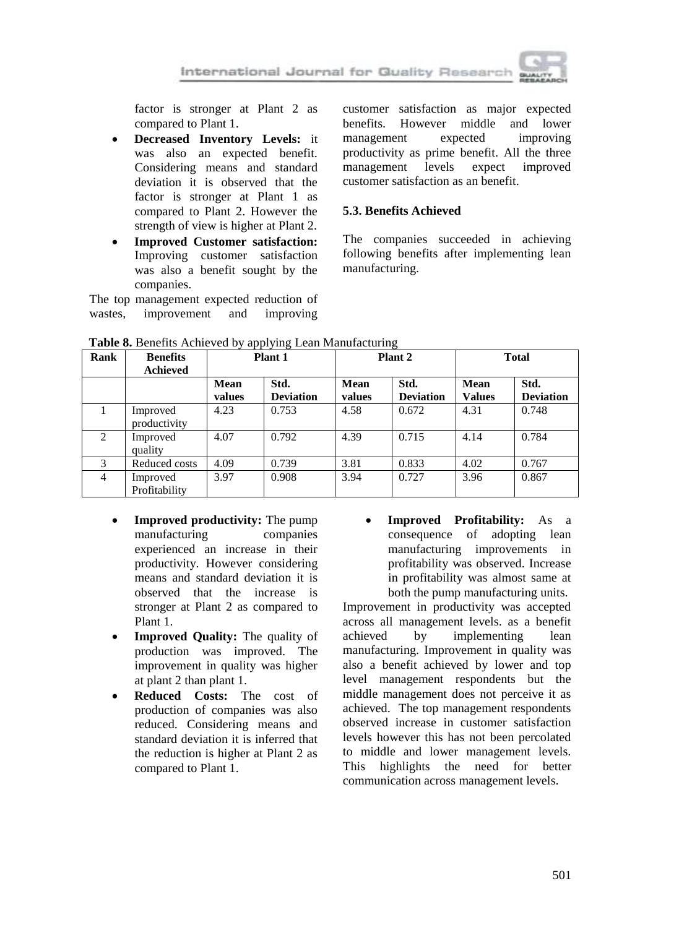

factor is stronger at Plant 2 as compared to Plant 1.

- **Decreased Inventory Levels:** it was also an expected benefit. Considering means and standard deviation it is observed that the factor is stronger at Plant 1 as compared to Plant 2. However the strength of view is higher at Plant 2.
- **Improved Customer satisfaction:** Improving customer satisfaction was also a benefit sought by the companies.

The top management expected reduction of wastes, improvement and improving customer satisfaction as major expected benefits. However middle and lower management expected improving productivity as prime benefit. All the three management levels expect improved customer satisfaction as an benefit.

## **5.3. Benefits Achieved**

The companies succeeded in achieving following benefits after implementing lean manufacturing.

| Rank | <b>Benefits</b><br><b>Achieved</b> | Plant 1        |                          | Plant <sub>2</sub> |                          | <b>Total</b>          |                          |
|------|------------------------------------|----------------|--------------------------|--------------------|--------------------------|-----------------------|--------------------------|
|      |                                    | Mean<br>values | Std.<br><b>Deviation</b> | Mean<br>values     | Std.<br><b>Deviation</b> | Mean<br><b>Values</b> | Std.<br><b>Deviation</b> |
|      | Improved<br>productivity           | 4.23           | 0.753                    | 4.58               | 0.672                    | 4.31                  | 0.748                    |
| 2    | Improved<br>quality                | 4.07           | 0.792                    | 4.39               | 0.715                    | 4.14                  | 0.784                    |
| 3    | Reduced costs                      | 4.09           | 0.739                    | 3.81               | 0.833                    | 4.02                  | 0.767                    |
| 4    | Improved<br>Profitability          | 3.97           | 0.908                    | 3.94               | 0.727                    | 3.96                  | 0.867                    |

**Table 8.** Benefits Achieved by applying Lean Manufacturing

- **Improved productivity:** The pump manufacturing companies experienced an increase in their productivity. However considering means and standard deviation it is observed that the increase is stronger at Plant 2 as compared to Plant 1.
- **Improved Quality:** The quality of production was improved. The improvement in quality was higher at plant 2 than plant 1.
- **Reduced Costs:** The cost of production of companies was also reduced. Considering means and standard deviation it is inferred that the reduction is higher at Plant 2 as compared to Plant 1.

 **Improved Profitability:** As a consequence of adopting lean manufacturing improvements in profitability was observed. Increase in profitability was almost same at both the pump manufacturing units.

Improvement in productivity was accepted across all management levels. as a benefit achieved by implementing lean manufacturing. Improvement in quality was also a benefit achieved by lower and top level management respondents but the middle management does not perceive it as achieved. The top management respondents observed increase in customer satisfaction levels however this has not been percolated to middle and lower management levels. This highlights the need for better communication across management levels.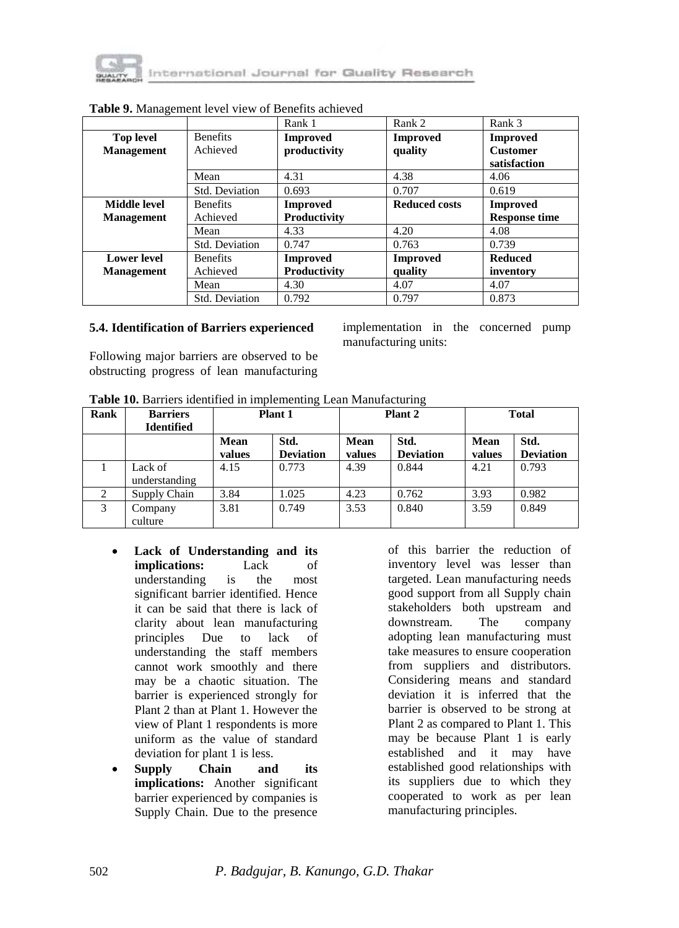

|                     |                 | Rank 1          | Rank 2               | Rank 3               |
|---------------------|-----------------|-----------------|----------------------|----------------------|
| <b>Top level</b>    | <b>Benefits</b> | <b>Improved</b> | <b>Improved</b>      | <b>Improved</b>      |
| <b>Management</b>   | Achieved        | productivity    | quality              | <b>Customer</b>      |
|                     |                 |                 |                      | satisfaction         |
|                     | Mean            | 4.31            | 4.38                 | 4.06                 |
|                     | Std. Deviation  | 0.693           | 0.707                | 0.619                |
| <b>Middle level</b> | <b>Benefits</b> | <b>Improved</b> | <b>Reduced costs</b> | Improved             |
| <b>Management</b>   | Achieved        | Productivity    |                      | <b>Response time</b> |
|                     | Mean            | 4.33            | 4.20                 | 4.08                 |
|                     | Std. Deviation  | 0.747           | 0.763                | 0.739                |
| <b>Lower level</b>  | <b>Benefits</b> | <b>Improved</b> | <b>Improved</b>      | <b>Reduced</b>       |
| <b>Management</b>   | Achieved        | Productivity    | quality              | inventory            |
|                     | Mean            | 4.30            | 4.07                 | 4.07                 |
|                     | Std. Deviation  | 0.792           | 0.797                | 0.873                |

## **Table 9.** Management level view of Benefits achieved

#### **5.4. Identification of Barriers experienced**

Following major barriers are observed to be obstructing progress of lean manufacturing implementation in the concerned pump manufacturing units:

**Table 10.** Barriers identified in implementing Lean Manufacturing

| Rank | <b>Barriers</b><br><b>Identified</b> | Plant 1        |                          | Plant 2        |                          | <b>Total</b>          |                          |
|------|--------------------------------------|----------------|--------------------------|----------------|--------------------------|-----------------------|--------------------------|
|      |                                      | Mean<br>values | Std.<br><b>Deviation</b> | Mean<br>values | Std.<br><b>Deviation</b> | <b>Mean</b><br>values | Std.<br><b>Deviation</b> |
|      | Lack of<br>understanding             | 4.15           | 0.773                    | 4.39           | 0.844                    | 4.21                  | 0.793                    |
| 2    | Supply Chain                         | 3.84           | 1.025                    | 4.23           | 0.762                    | 3.93                  | 0.982                    |
| 3    | Company<br>culture                   | 3.81           | 0.749                    | 3.53           | 0.840                    | 3.59                  | 0.849                    |

- **Lack of Understanding and its implications:** Lack of understanding is the most significant barrier identified. Hence it can be said that there is lack of clarity about lean manufacturing principles Due to lack of understanding the staff members cannot work smoothly and there may be a chaotic situation. The barrier is experienced strongly for Plant 2 than at Plant 1. However the view of Plant 1 respondents is more uniform as the value of standard deviation for plant 1 is less.
- **Supply Chain and its implications:** Another significant barrier experienced by companies is Supply Chain. Due to the presence

of this barrier the reduction of inventory level was lesser than targeted. Lean manufacturing needs good support from all Supply chain stakeholders both upstream and downstream. The company adopting lean manufacturing must take measures to ensure cooperation from suppliers and distributors. Considering means and standard deviation it is inferred that the barrier is observed to be strong at Plant 2 as compared to Plant 1. This may be because Plant 1 is early established and it may have established good relationships with its suppliers due to which they cooperated to work as per lean manufacturing principles.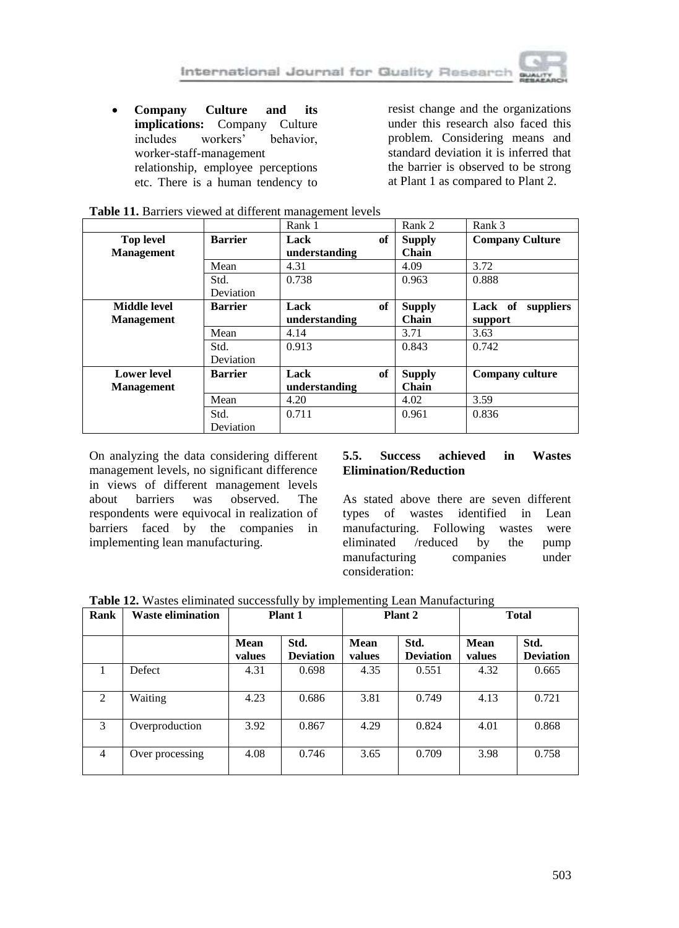**Company Culture and its implications:** Company Culture includes workers' behavior, worker-staff-management relationship, employee perceptions etc. There is a human tendency to

resist change and the organizations under this research also faced this problem. Considering means and standard deviation it is inferred that the barrier is observed to be strong at Plant 1 as compared to Plant 2.

|                                       |                | Rank 1                |    | Rank 2                 | Rank 3                 |
|---------------------------------------|----------------|-----------------------|----|------------------------|------------------------|
| <b>Top level</b><br><b>Management</b> | <b>Barrier</b> | Lack<br>understanding | of | <b>Supply</b><br>Chain | <b>Company Culture</b> |
|                                       | Mean           | 4.31                  |    | 4.09                   | 3.72                   |
|                                       | Std.           | 0.738                 |    | 0.963                  | 0.888                  |
|                                       | Deviation      |                       |    |                        |                        |
| Middle level                          | <b>Barrier</b> | Lack                  | of | <b>Supply</b>          | Lack of<br>suppliers   |
| <b>Management</b>                     |                | understanding         |    | Chain                  | support                |
|                                       | Mean           | 4.14                  |    | 3.71                   | 3.63                   |
|                                       | Std.           | 0.913                 |    | 0.843                  | 0.742                  |
|                                       | Deviation      |                       |    |                        |                        |
| <b>Lower level</b>                    | <b>Barrier</b> | Lack                  | of | <b>Supply</b>          | <b>Company culture</b> |
| <b>Management</b>                     |                | understanding         |    | Chain                  |                        |
|                                       | Mean           | 4.20                  |    | 4.02                   | 3.59                   |
|                                       | Std.           | 0.711                 |    | 0.961                  | 0.836                  |
|                                       | Deviation      |                       |    |                        |                        |

|  |  | Table 11. Barriers viewed at different management levels |
|--|--|----------------------------------------------------------|
|--|--|----------------------------------------------------------|

On analyzing the data considering different management levels, no significant difference in views of different management levels about barriers was observed. The respondents were equivocal in realization of barriers faced by the companies in implementing lean manufacturing.

### **5.5. Success achieved in Wastes Elimination/Reduction**

As stated above there are seven different types of wastes identified in Lean manufacturing. Following wastes were eliminated /reduced by the pump manufacturing companies under consideration:

**Table 12.** Wastes eliminated successfully by implementing Lean Manufacturing

| Rank | <b>Waste elimination</b> | Plant 1<br>Plant 2 |                          | <b>Total</b>   |                          |                |                          |
|------|--------------------------|--------------------|--------------------------|----------------|--------------------------|----------------|--------------------------|
|      |                          | Mean<br>values     | Std.<br><b>Deviation</b> | Mean<br>values | Std.<br><b>Deviation</b> | Mean<br>values | Std.<br><b>Deviation</b> |
|      | Defect                   | 4.31               | 0.698                    | 4.35           | 0.551                    | 4.32           | 0.665                    |
| 2    | Waiting                  | 4.23               | 0.686                    | 3.81           | 0.749                    | 4.13           | 0.721                    |
| 3    | Overproduction           | 3.92               | 0.867                    | 4.29           | 0.824                    | 4.01           | 0.868                    |
| 4    | Over processing          | 4.08               | 0.746                    | 3.65           | 0.709                    | 3.98           | 0.758                    |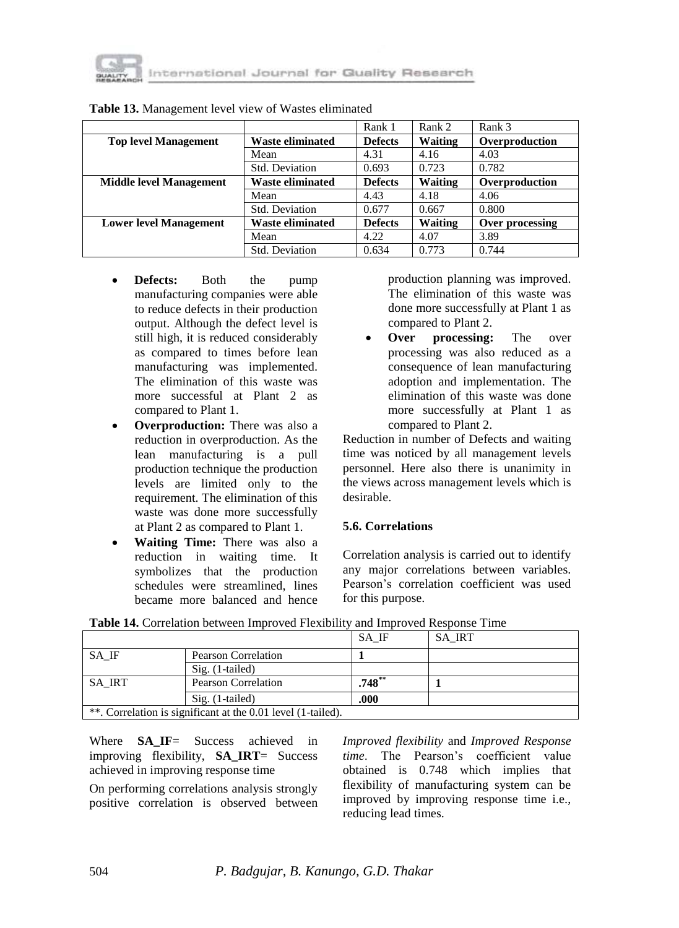

|                                |                         | Rank 1         | Rank 2         | Rank 3          |
|--------------------------------|-------------------------|----------------|----------------|-----------------|
| <b>Top level Management</b>    | <b>Waste eliminated</b> | <b>Defects</b> | Waiting        | Overproduction  |
|                                | Mean                    | 4.31           | 4.16           | 4.03            |
|                                | Std. Deviation          | 0.693          | 0.723          | 0.782           |
| <b>Middle level Management</b> | <b>Waste eliminated</b> | <b>Defects</b> | <b>Waiting</b> | Overproduction  |
|                                | Mean                    | 4.43           | 4.18           | 4.06            |
|                                | Std. Deviation          | 0.677          | 0.667          | 0.800           |
| <b>Lower level Management</b>  | <b>Waste eliminated</b> | <b>Defects</b> | <b>Waiting</b> | Over processing |
|                                | Mean                    | 4.22           | 4.07           | 3.89            |
|                                | Std. Deviation          | 0.634          | 0.773          | 0.744           |

#### **Table 13.** Management level view of Wastes eliminated

- **Defects:** Both the pump manufacturing companies were able to reduce defects in their production output. Although the defect level is still high, it is reduced considerably as compared to times before lean manufacturing was implemented. The elimination of this waste was more successful at Plant 2 as compared to Plant 1.
- **Overproduction:** There was also a reduction in overproduction. As the lean manufacturing is a pull production technique the production levels are limited only to the requirement. The elimination of this waste was done more successfully at Plant 2 as compared to Plant 1.
- **Waiting Time:** There was also a reduction in waiting time. It symbolizes that the production schedules were streamlined, lines became more balanced and hence

production planning was improved. The elimination of this waste was done more successfully at Plant 1 as compared to Plant 2.

 **Over processing:** The over processing was also reduced as a consequence of lean manufacturing adoption and implementation. The elimination of this waste was done more successfully at Plant 1 as compared to Plant 2.

Reduction in number of Defects and waiting time was noticed by all management levels personnel. Here also there is unanimity in the views across management levels which is desirable.

### **5.6. Correlations**

Correlation analysis is carried out to identify any major correlations between variables. Pearson's correlation coefficient was used for this purpose.

| SA IF<br><b>SA IRT</b>               |                                                              |           |  |  |  |
|--------------------------------------|--------------------------------------------------------------|-----------|--|--|--|
| SA IF                                | <b>Pearson Correlation</b>                                   |           |  |  |  |
|                                      | $Sig.$ (1-tailed)                                            |           |  |  |  |
| SA IRT<br><b>Pearson Correlation</b> |                                                              | $.748***$ |  |  |  |
|                                      | $Sig.$ (1-tailed)                                            | .000      |  |  |  |
|                                      | **. Correlation is significant at the 0.01 level (1-tailed). |           |  |  |  |

|  | Table 14. Correlation between Improved Flexibility and Improved Response Time |  |  |  |
|--|-------------------------------------------------------------------------------|--|--|--|
|--|-------------------------------------------------------------------------------|--|--|--|

Where **SA IF**= Success achieved in improving flexibility, **SA\_IRT**= Success achieved in improving response time

On performing correlations analysis strongly positive correlation is observed between *Improved flexibility* and *Improved Response time*. The Pearson's coefficient value obtained is 0.748 which implies that flexibility of manufacturing system can be improved by improving response time i.e., reducing lead times.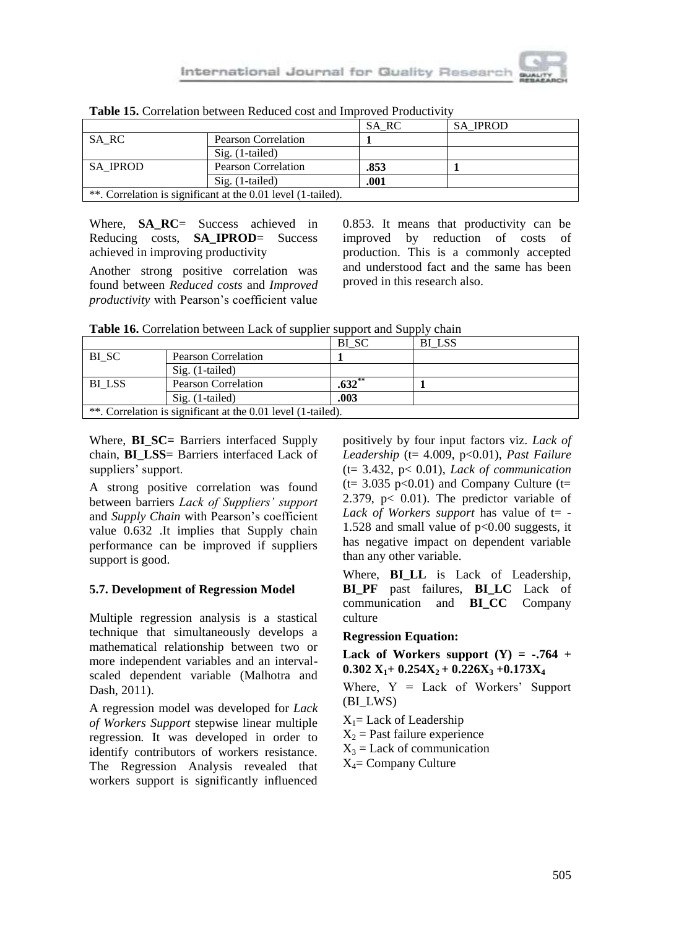

| <b>SA IPROD</b><br>SA RC                                     |                     |      |  |  |  |  |
|--------------------------------------------------------------|---------------------|------|--|--|--|--|
| SA RC                                                        | Pearson Correlation |      |  |  |  |  |
| $Sig. (1-tailed)$                                            |                     |      |  |  |  |  |
| <b>SA IPROD</b><br><b>Pearson Correlation</b>                |                     | .853 |  |  |  |  |
| .001<br>$Sig. (1-tailed)$                                    |                     |      |  |  |  |  |
| **. Correlation is significant at the 0.01 level (1-tailed). |                     |      |  |  |  |  |

**Table 15.** Correlation between Reduced cost and Improved Productivity

Where, **SA RC**= Success achieved in Reducing costs, **SA\_IPROD**= Success achieved in improving productivity

Another strong positive correlation was found between *Reduced costs* and *Improved productivity* with Pearson's coefficient value

0.853. It means that productivity can be improved by reduction of costs of production. This is a commonly accepted and understood fact and the same has been proved in this research also.

| BI SC<br>BI LSS                                              |                            |           |  |  |  |  |
|--------------------------------------------------------------|----------------------------|-----------|--|--|--|--|
| BI SC                                                        | <b>Pearson Correlation</b> |           |  |  |  |  |
| $Sig.$ (1-tailed)                                            |                            |           |  |  |  |  |
| BI LSS                                                       | <b>Pearson Correlation</b> | $.632$ ** |  |  |  |  |
| .003<br>$Sig. (1-tailed)$                                    |                            |           |  |  |  |  |
| **. Correlation is significant at the 0.01 level (1-tailed). |                            |           |  |  |  |  |

Where, **BI\_SC=** Barriers interfaced Supply chain, **BI\_LSS**= Barriers interfaced Lack of suppliers' support.

A strong positive correlation was found between barriers *Lack of Suppliers' support* and *Supply Chain* with Pearson's coefficient value 0.632 .It implies that Supply chain performance can be improved if suppliers support is good.

### **5.7. Development of Regression Model**

Multiple regression analysis is a stastical technique that simultaneously develops a mathematical relationship between two or more independent variables and an intervalscaled dependent variable (Malhotra and Dash, 2011).

A regression model was developed for *Lack of Workers Support* stepwise linear multiple regression*.* It was developed in order to identify contributors of workers resistance. The Regression Analysis revealed that workers support is significantly influenced

positively by four input factors viz. *Lack of Leadership* (t= 4.009, p<0.01), *Past Failure* (t= 3.432, p< 0.01), *Lack of communication*   $(t= 3.035 \text{ p} < 0.01)$  and Company Culture  $(t=$ 2.379, p< 0.01). The predictor variable of *Lack of Workers support* has value of  $t=$  -1.528 and small value of  $p<0.00$  suggests, it has negative impact on dependent variable than any other variable.

Where, **BILL** is Lack of Leadership, **BI\_PF** past failures, **BI\_LC** Lack of communication and **BI\_CC** Company culture

### **Regression Equation:**

#### Lack of Workers support  $(Y) = -.764 +$  $0.302$   $X_1$  +  $0.254X_2$  +  $0.226X_3$  +  $0.173X_4$

Where,  $Y =$  Lack of Workers' Support (BI\_LWS)

 $X_1$ = Lack of Leadership  $X<sub>2</sub>$  = Past failure experience  $X_3$  = Lack of communication  $X_4$ = Company Culture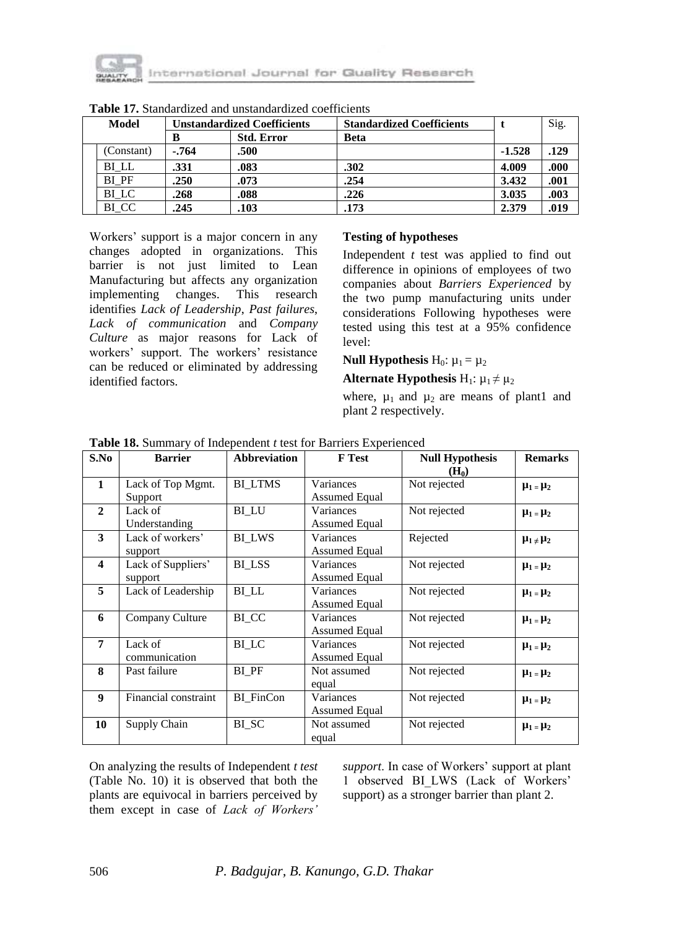

| Model      | <b>Unstandardized Coefficients</b> |                   | <b>Standardized Coefficients</b> |          | Sig.  |
|------------|------------------------------------|-------------------|----------------------------------|----------|-------|
|            | В                                  | <b>Std. Error</b> | <b>Beta</b>                      |          |       |
| (Constant) | $-764$                             | .500              |                                  | $-1.528$ | .129  |
| BI LL      | .331                               | .083              | .302                             | 4.009    | .000. |
| BI PF      | .250                               | .073              | .254                             | 3.432    | .001  |
| BI LC      | .268                               | .088              | .226                             | 3.035    | .003  |
| BI CC      | .245                               | .103              | .173                             | 2.379    | .019  |

**Table 17.** Standardized and unstandardized coefficients

Workers' support is a major concern in any changes adopted in organizations. This barrier is not just limited to Lean Manufacturing but affects any organization implementing changes. This research identifies *Lack of Leadership*, *Past failures*, *Lack of communication* and *Company Culture* as major reasons for Lack of workers' support. The workers' resistance can be reduced or eliminated by addressing identified factors.

## **Testing of hypotheses**

Independent *t* test was applied to find out difference in opinions of employees of two companies about *Barriers Experienced* by the two pump manufacturing units under considerations Following hypotheses were tested using this test at a 95% confidence level:

#### **Null Hypothesis**  $H_0: \mu_1 = \mu_2$

#### **Alternate Hypothesis** H<sub>1</sub>:  $\mu_1 \neq \mu_2$

where,  $\mu_1$  and  $\mu_2$  are means of plant1 and plant 2 respectively.

| S.No                    | <b>Barrier</b>                | <b>Abbreviation</b> | <b>F</b> Test                     | <b>Null Hypothesis</b><br>$(H_0)$ | <b>Remarks</b>     |
|-------------------------|-------------------------------|---------------------|-----------------------------------|-----------------------------------|--------------------|
| 1                       | Lack of Top Mgmt.<br>Support  | <b>BI LTMS</b>      | Variances<br>Assumed Equal        | Not rejected                      | $\mu_1 = \mu_2$    |
| $\overline{2}$          | Lack of<br>Understanding      | BI LU               | Variances<br>Assumed Equal        | Not rejected                      | $\mu_1 = \mu_2$    |
| $\mathbf{3}$            | Lack of workers'<br>support   | <b>BI LWS</b>       | Variances<br><b>Assumed Equal</b> | Rejected                          | $\mu_1 \neq \mu_2$ |
| $\overline{\mathbf{4}}$ | Lack of Suppliers'<br>support | BI LSS              | Variances<br><b>Assumed Equal</b> | Not rejected                      | $\mu_1 = \mu_2$    |
| 5                       | Lack of Leadership            | BI LL               | Variances<br>Assumed Equal        | Not rejected                      | $\mu_1 = \mu_2$    |
| 6                       | Company Culture               | BI CC               | Variances<br><b>Assumed Equal</b> | Not rejected                      | $\mu_1 = \mu_2$    |
| 7                       | Lack of<br>communication      | BI LC               | Variances<br>Assumed Equal        | Not rejected                      | $\mu_1 = \mu_2$    |
| 8                       | Past failure                  | BI PF               | Not assumed<br>equal              | Not rejected                      | $\mu_1 = \mu_2$    |
| 9                       | Financial constraint          | BI FinCon           | Variances<br><b>Assumed Equal</b> | Not rejected                      | $\mu_1 = \mu_2$    |
| 10                      | Supply Chain                  | BI SC               | Not assumed<br>equal              | Not rejected                      | $\mu_1 = \mu_2$    |

**Table 18.** Summary of Independent *t* test for Barriers Experienced

On analyzing the results of Independent *t test* (Table No. 10) it is observed that both the plants are equivocal in barriers perceived by them except in case of *Lack of Workers'* 

*support*. In case of Workers' support at plant 1 observed BI\_LWS (Lack of Workers' support) as a stronger barrier than plant 2.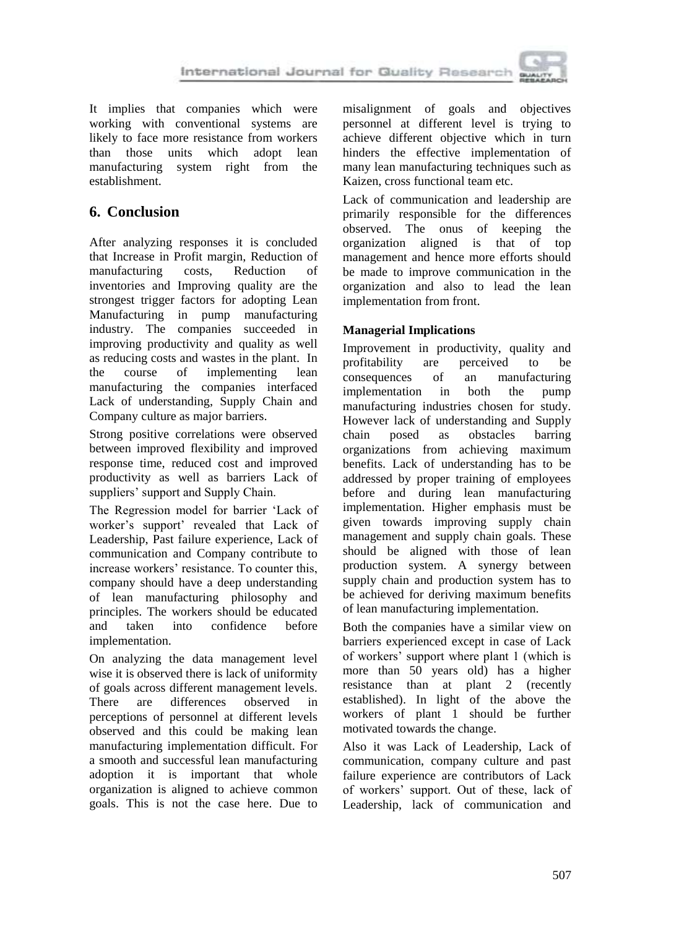

It implies that companies which were working with conventional systems are likely to face more resistance from workers<br>than those units which adopt lean than those units which adopt lean manufacturing system right from the establishment.

# **6. Conclusion**

After analyzing responses it is concluded that Increase in Profit margin, Reduction of manufacturing costs, Reduction of inventories and Improving quality are the strongest trigger factors for adopting Lean Manufacturing in pump manufacturing industry. The companies succeeded in improving productivity and quality as well as reducing costs and wastes in the plant. In the course of implementing lean manufacturing the companies interfaced Lack of understanding, Supply Chain and Company culture as major barriers.

Strong positive correlations were observed between improved flexibility and improved response time, reduced cost and improved productivity as well as barriers Lack of suppliers' support and Supply Chain.

The Regression model for barrier 'Lack of worker's support' revealed that Lack of Leadership, Past failure experience, Lack of communication and Company contribute to increase workers' resistance. To counter this, company should have a deep understanding of lean manufacturing philosophy and principles. The workers should be educated and taken into confidence before implementation.

On analyzing the data management level wise it is observed there is lack of uniformity of goals across different management levels. There are differences observed in perceptions of personnel at different levels observed and this could be making lean manufacturing implementation difficult. For a smooth and successful lean manufacturing adoption it is important that whole organization is aligned to achieve common goals. This is not the case here. Due to

misalignment of goals and objectives personnel at different level is trying to achieve different objective which in turn hinders the effective implementation of many lean manufacturing techniques such as Kaizen, cross functional team etc.

Lack of communication and leadership are primarily responsible for the differences observed. The onus of keeping the organization aligned is that of top management and hence more efforts should be made to improve communication in the organization and also to lead the lean implementation from front.

## **Managerial Implications**

Improvement in productivity, quality and profitability are perceived to be consequences of an manufacturing implementation in both the pump manufacturing industries chosen for study. However lack of understanding and Supply chain posed as obstacles barring organizations from achieving maximum benefits. Lack of understanding has to be addressed by proper training of employees before and during lean manufacturing implementation. Higher emphasis must be given towards improving supply chain management and supply chain goals. These should be aligned with those of lean production system. A synergy between supply chain and production system has to be achieved for deriving maximum benefits of lean manufacturing implementation.

Both the companies have a similar view on barriers experienced except in case of Lack of workers' support where plant 1 (which is more than 50 years old) has a higher resistance than at plant 2 (recently established). In light of the above the workers of plant 1 should be further motivated towards the change.

Also it was Lack of Leadership, Lack of communication, company culture and past failure experience are contributors of Lack of workers' support. Out of these, lack of Leadership, lack of communication and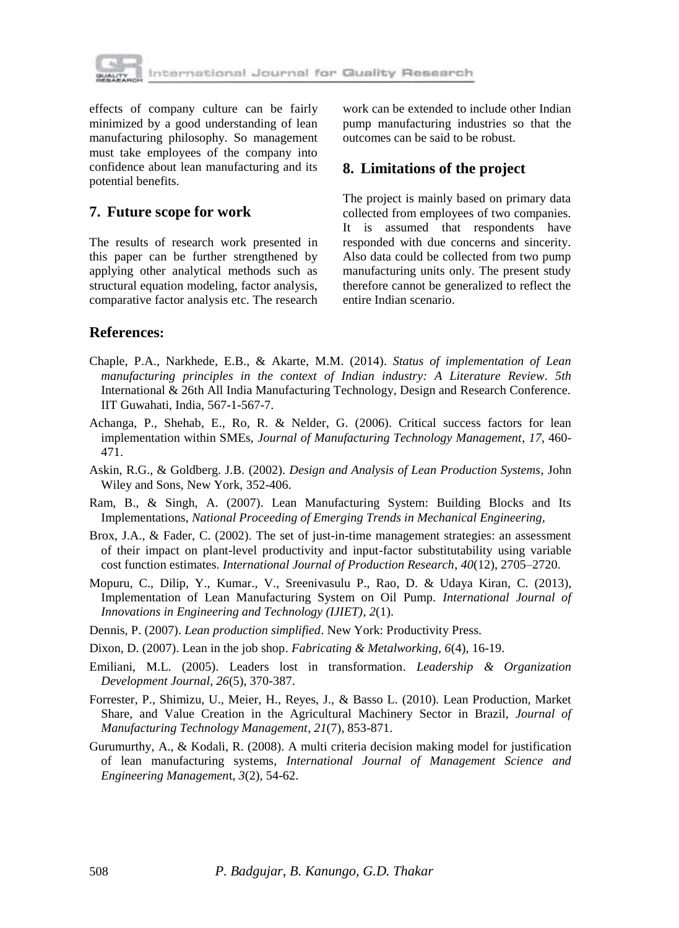

effects of company culture can be fairly minimized by a good understanding of lean manufacturing philosophy. So management must take employees of the company into confidence about lean manufacturing and its potential benefits.

## **7. Future scope for work**

The results of research work presented in this paper can be further strengthened by applying other analytical methods such as structural equation modeling, factor analysis, comparative factor analysis etc. The research work can be extended to include other Indian pump manufacturing industries so that the outcomes can be said to be robust.

## **8. Limitations of the project**

The project is mainly based on primary data collected from employees of two companies. It is assumed that respondents have responded with due concerns and sincerity. Also data could be collected from two pump manufacturing units only. The present study therefore cannot be generalized to reflect the entire Indian scenario.

## **References:**

- Chaple, P.A., Narkhede, E.B., & Akarte, M.M. (2014). *Status of implementation of Lean manufacturing principles in the context of Indian industry: A Literature Review*. *5th*  International & 26th All India Manufacturing Technology, Design and Research Conference. IIT Guwahati, India, 567-1-567-7.
- Achanga, P., Shehab, E., Ro, R. & Nelder, G. (2006). Critical success factors for lean implementation within SMEs, *Journal of Manufacturing Technology Management*, *17*, 460- 471.
- Askin, R.G., & Goldberg. J.B. (2002). *Design and Analysis of Lean Production Systems*, John Wiley and Sons, New York, 352-406.
- Ram, B., & Singh, A. (2007). Lean Manufacturing System: Building Blocks and Its Implementations, *National Proceeding of Emerging Trends in Mechanical Engineering,*
- Brox, J.A., & Fader, C. (2002). The set of just-in-time management strategies: an assessment of their impact on plant-level productivity and input-factor substitutability using variable cost function estimates. *International Journal of Production Research*, *40*(12), 2705–2720.
- Mopuru, C., Dilip, Y., Kumar., V., Sreenivasulu P., Rao, D. & Udaya Kiran, C. (2013), Implementation of Lean Manufacturing System on Oil Pump. *International Journal of Innovations in Engineering and Technology (IJIET)*, *2*(1).
- Dennis, P. (2007). *Lean production simplified*. New York: Productivity Press.
- Dixon, D. (2007). Lean in the job shop. *Fabricating & Metalworking, 6*(4), 16-19.
- Emiliani, M.L. (2005). Leaders lost in transformation. *Leadership & Organization Development Journal, 26*(5), 370-387.
- Forrester, P., Shimizu, U., Meier, H., Reyes, J., & Basso L. (2010). Lean Production, Market Share, and Value Creation in the Agricultural Machinery Sector in Brazil, *Journal of Manufacturing Technology Management*, *21*(7), 853-871.
- Gurumurthy, A., & Kodali, R. (2008). A multi criteria decision making model for justification of lean manufacturing systems, *International Journal of Management Science and Engineering Managemen*t, *3*(2), 54-62.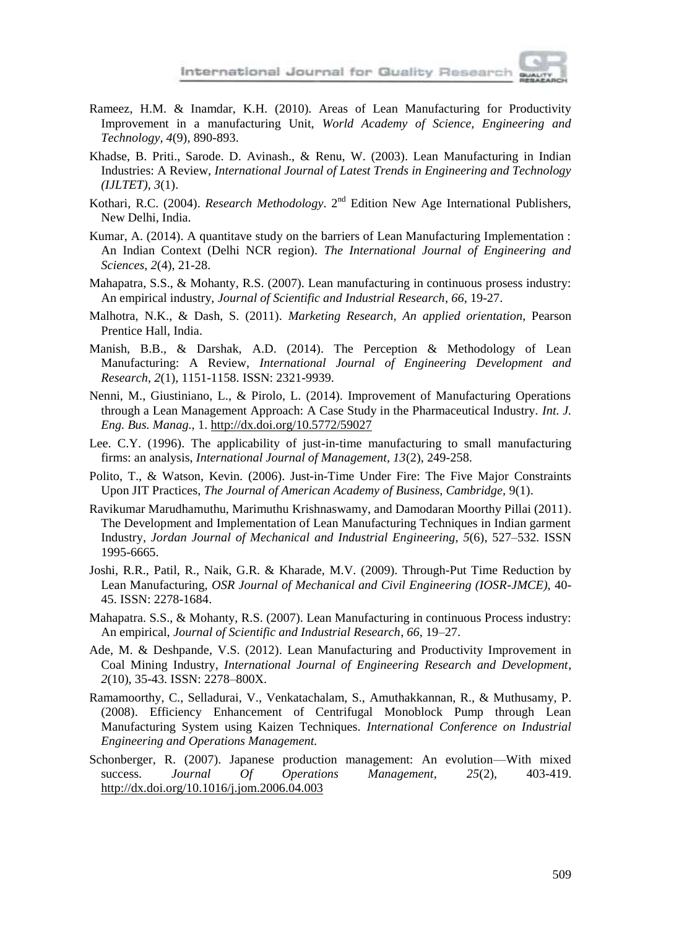

- Rameez, H.M. & Inamdar, K.H. (2010). Areas of Lean Manufacturing for Productivity Improvement in a manufacturing Unit, *World Academy of Science, Engineering and Technology, 4*(9), 890-893.
- Khadse, B. Priti., Sarode. D. Avinash., & Renu, W. (2003). Lean Manufacturing in Indian Industries: A Review, *International Journal of Latest Trends in Engineering and Technology (IJLTET)*, *3*(1).
- Kothari, R.C. (2004). *Research Methodology*. 2<sup>nd</sup> Edition New Age International Publishers, New Delhi, India.
- Kumar, A. (2014). A quantitave study on the barriers of Lean Manufacturing Implementation : An Indian Context (Delhi NCR region). *The International Journal of Engineering and Sciences*, *2*(4), 21-28.
- Mahapatra, S.S., & Mohanty, R.S. (2007). Lean manufacturing in continuous prosess industry: An empirical industry, *Journal of Scientific and Industrial Research*, *66*, 19-27.
- Malhotra, N.K., & Dash, S. (2011). *Marketing Research, An applied orientation*, Pearson Prentice Hall, India.
- Manish, B.B., & Darshak, A.D. (2014). The Perception & Methodology of Lean Manufacturing: A Review, *International Journal of Engineering Development and Research*, *2*(1), 1151-1158. ISSN: 2321-9939.
- Nenni, M., Giustiniano, L., & Pirolo, L. (2014). Improvement of Manufacturing Operations through a Lean Management Approach: A Case Study in the Pharmaceutical Industry. *Int. J. Eng. Bus. Manag.,* 1. http://dx.doi.org/10.5772/59027
- Lee. C.Y. (1996). The applicability of just-in-time manufacturing to small manufacturing firms: an analysis, *International Journal of Management, 13*(2), 249-258.
- Polito, T., & Watson, Kevin. (2006). Just-in-Time Under Fire: The Five Major Constraints Upon JIT Practices, *The Journal of American Academy of Business, Cambridge,* 9(1).
- Ravikumar Marudhamuthu, Marimuthu Krishnaswamy, and Damodaran Moorthy Pillai (2011). The Development and Implementation of Lean Manufacturing Techniques in Indian garment Industry, *Jordan Journal of Mechanical and Industrial Engineering*, *5*(6), 527–532*.* ISSN 1995-6665.
- Joshi, R.R., Patil, R., Naik, G.R. & Kharade, M.V. (2009). Through-Put Time Reduction by Lean Manufacturing, *OSR Journal of Mechanical and Civil Engineering (IOSR-JMCE)*, 40- 45. ISSN: 2278-1684.
- Mahapatra. S.S., & Mohanty, R.S. (2007). Lean Manufacturing in continuous Process industry: An empirical, *Journal of Scientific and Industrial Research*, *66*, 19–27.
- Ade, M. & Deshpande, V.S. (2012). Lean Manufacturing and Productivity Improvement in Coal Mining Industry, *International Journal of Engineering Research and Development*, *2*(10), 35-43. ISSN: 2278–800X.
- Ramamoorthy, C., Selladurai, V., Venkatachalam, S., Amuthakkannan, R., & Muthusamy, P. (2008). Efficiency Enhancement of Centrifugal Monoblock Pump through Lean Manufacturing System using Kaizen Techniques. *International Conference on Industrial Engineering and Operations Management.*
- Schonberger, R. (2007). Japanese production management: An evolution—With mixed success. *Journal Of Operations Management*, *25*(2), 403-419. http://dx.doi.org/10.1016/j.jom.2006.04.003